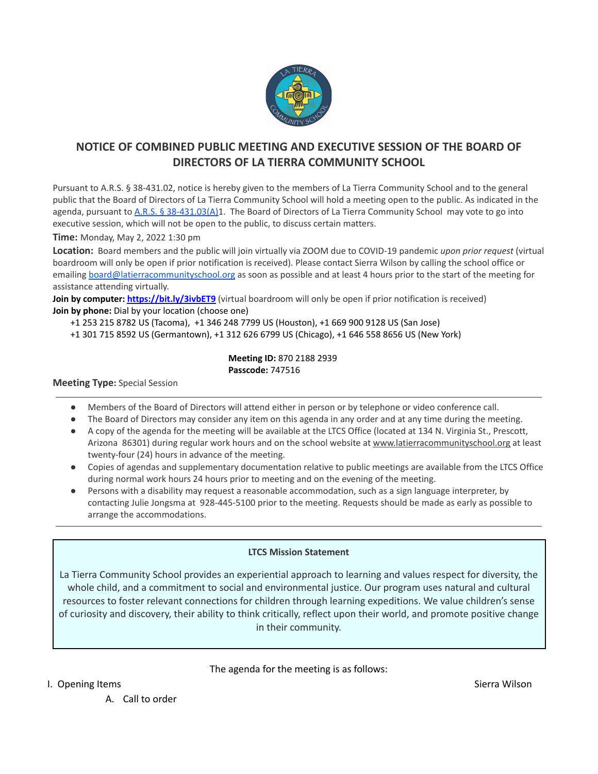

## **NOTICE OF COMBINED PUBLIC MEETING AND EXECUTIVE SESSION OF THE BOARD OF DIRECTORS OF LA TIERRA COMMUNITY SCHOOL**

Pursuant to A.R.S. § 38-431.02, notice is hereby given to the members of La Tierra Community School and to the general public that the Board of Directors of La Tierra Community School will hold a meeting open to the public. As indicated in the agenda, pursuant to A.R.S. § [38-431.03\(A\)1](https://www.azleg.gov/ars/38/00431-03.htm). The Board of Directors of La Tierra Community School may vote to go into executive session, which will not be open to the public, to discuss certain matters.

**Time:** Monday, May 2, 2022 1:30 pm

**Location:** Board members and the public will join virtually via ZOOM due to COVID-19 pandemic *upon prior request* (virtual boardroom will only be open if prior notification is received). Please contact Sierra Wilson by calling the school office or emailing [board@latierracommunityschool.org](mailto:julie@latierracommunityschool.org) as soon as possible and at least 4 hours prior to the start of the meeting for assistance attending virtually.

**Join by computer: <https://bit.ly/3ivbET9>** (virtual boardroom will only be open if prior notification is received) **Join by phone:** Dial by your location (choose one)

+1 253 215 8782 US (Tacoma), +1 346 248 7799 US (Houston), +1 669 900 9128 US (San Jose)

+1 301 715 8592 US (Germantown), +1 312 626 6799 US (Chicago), +1 646 558 8656 US (New York)

**Meeting ID:** 870 2188 2939 **Passcode:** 747516

## **Meeting Type:** Special Session

- Members of the Board of Directors will attend either in person or by telephone or video conference call.
- The Board of Directors may consider any item on this agenda in any order and at any time during the meeting.
- A copy of the agenda for the meeting will be available at the LTCS Office (located at 134 N. Virginia St., Prescott, Arizona 86301) during regular work hours and on the school website at [www.latierracommunityschool.org](http://www.latierracommunityschool.org) at least twenty-four (24) hours in advance of the meeting.
- Copies of agendas and supplementary documentation relative to public meetings are available from the LTCS Office during normal work hours 24 hours prior to meeting and on the evening of the meeting.
- Persons with a disability may request a reasonable accommodation, such as a sign language interpreter, by contacting Julie Jongsma at 928-445-5100 prior to the meeting. Requests should be made as early as possible to arrange the accommodations.

## **LTCS Mission Statement**

La Tierra Community School provides an experiential approach to learning and values respect for diversity, the whole child, and a commitment to social and environmental justice. Our program uses natural and cultural resources to foster relevant connections for children through learning expeditions. We value children's sense of curiosity and discovery, their ability to think critically, reflect upon their world, and promote positive change in their community.

The agenda for the meeting is as follows:

I. Opening Items Sierra Wilson Sierra Wilson Sierra Wilson Sierra Wilson Sierra Wilson Sierra Wilson Sierra Wilson

A. Call to order